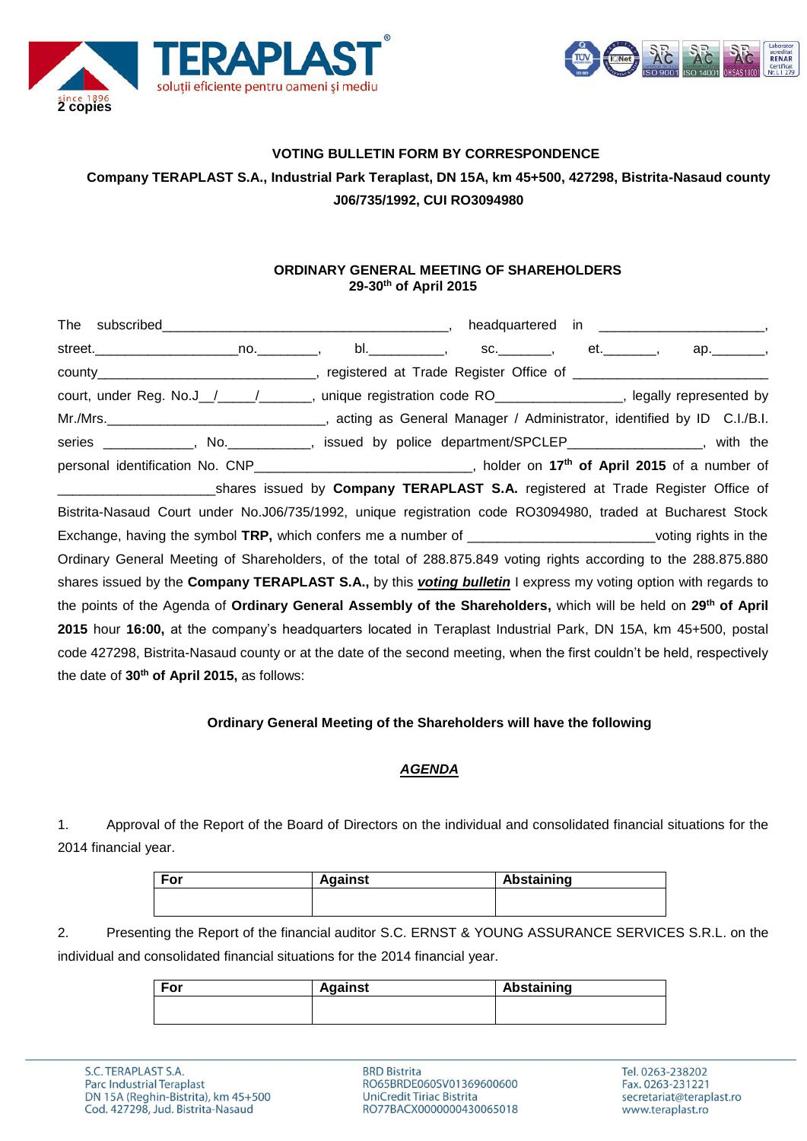



# **VOTING BULLETIN FORM BY CORRESPONDENCE Company TERAPLAST S.A., Industrial Park Teraplast, DN 15A, km 45+500, 427298, Bistrita-Nasaud county J06/735/1992, CUI RO3094980**

### **ORDINARY GENERAL MEETING OF SHAREHOLDERS 29-30th of April 2015**

| county___________________________________, registered at Trade Register Office of ____________________________             |  |  |
|----------------------------------------------------------------------------------------------------------------------------|--|--|
| court, under Reg. No.J_/____/_______, unique registration code RO_______________, legally represented by                   |  |  |
|                                                                                                                            |  |  |
| series ____________, No. __________, issued by police department/SPCLEP________________, with the                          |  |  |
| personal identification No. CNP_______________________________, holder on 17 <sup>th</sup> of April 2015 of a number of    |  |  |
| __________________________shares issued by Company TERAPLAST S.A. registered at Trade Register Office of                   |  |  |
| Bistrita-Nasaud Court under No.J06/735/1992, unique registration code RO3094980, traded at Bucharest Stock                 |  |  |
| Exchange, having the symbol TRP, which confers me a number of _____________________________voting rights in the            |  |  |
| Ordinary General Meeting of Shareholders, of the total of 288.875.849 voting rights according to the 288.875.880           |  |  |
| shares issued by the Company TERAPLAST S.A., by this <i>voting bulletin</i> I express my voting option with regards to     |  |  |
| the points of the Agenda of Ordinary General Assembly of the Shareholders, which will be held on 29 <sup>th</sup> of April |  |  |
| 2015 hour 16:00, at the company's headquarters located in Teraplast Industrial Park, DN 15A, km 45+500, postal             |  |  |
| code 427298, Bistrita-Nasaud county or at the date of the second meeting, when the first couldn't be held, respectively    |  |  |
| the date of 30 <sup>th</sup> of April 2015, as follows:                                                                    |  |  |

### **Ordinary General Meeting of the Shareholders will have the following**

#### *AGENDA*

1. Approval of the Report of the Board of Directors on the individual and consolidated financial situations for the 2014 financial year.

| For | <b>Against</b> | Abstaining |
|-----|----------------|------------|
|     |                |            |
|     |                |            |

2. Presenting the Report of the financial auditor S.C. ERNST & YOUNG ASSURANCE SERVICES S.R.L. on the individual and consolidated financial situations for the 2014 financial year.

| <b>For</b> | <b>Against</b> | Abstaining |
|------------|----------------|------------|
|            |                |            |
|            |                |            |

**BRD Bistrita** RO65BRDE060SV01369600600 **UniCredit Tiriac Bistrita** RO77BACX0000000430065018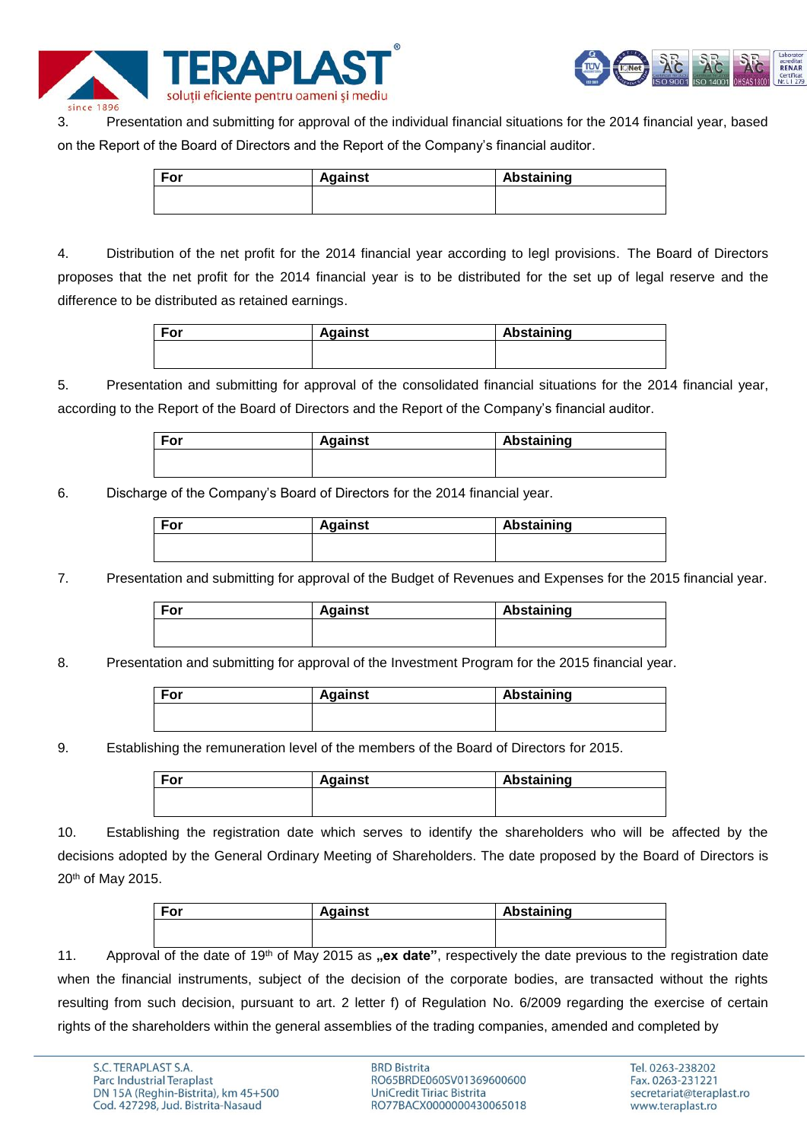



3. Presentation and submitting for approval of the individual financial situations for the 2014 financial year, based on the Report of the Board of Directors and the Report of the Company's financial auditor.

| For | <b>Against</b> | Abstaining |
|-----|----------------|------------|
|     |                |            |
|     |                |            |

4. Distribution of the net profit for the 2014 financial year according to legl provisions. The Board of Directors proposes that the net profit for the 2014 financial year is to be distributed for the set up of legal reserve and the difference to be distributed as retained earnings.

| For | <b>Against</b> | Abstaining |
|-----|----------------|------------|
|     |                |            |
|     |                |            |

5. Presentation and submitting for approval of the consolidated financial situations for the 2014 financial year, according to the Report of the Board of Directors and the Report of the Company's financial auditor.

| ⊑or | <b>Against</b> | <b>Abstaining</b> |
|-----|----------------|-------------------|
|     |                |                   |
|     |                |                   |

6. Discharge of the Company's Board of Directors for the 2014 financial year.

| For | <b>Against</b> | Abstaining |
|-----|----------------|------------|
|     |                |            |
|     |                |            |

7. Presentation and submitting for approval of the Budget of Revenues and Expenses for the 2015 financial year.

| For | <b>Against</b> | Abstaining |
|-----|----------------|------------|
|     |                |            |
|     |                |            |

8. Presentation and submitting for approval of the Investment Program for the 2015 financial year.

| ™or | <b>Against</b> | Abstaining |
|-----|----------------|------------|
|     |                |            |
|     |                |            |

9. Establishing the remuneration level of the members of the Board of Directors for 2015.

| For | <b>Against</b> | Abstaining |
|-----|----------------|------------|
|     |                |            |
|     |                |            |

10. Establishing the registration date which serves to identify the shareholders who will be affected by the decisions adopted by the General Ordinary Meeting of Shareholders. The date proposed by the Board of Directors is 20th of May 2015.

| For | <b>Against</b> | Abstaining |
|-----|----------------|------------|
|     |                |            |
|     |                |            |

11. Approval of the date of 19<sup>th</sup> of May 2015 as "ex date", respectively the date previous to the registration date when the financial instruments, subject of the decision of the corporate bodies, are transacted without the rights resulting from such decision, pursuant to art. 2 letter f) of Regulation No. 6/2009 regarding the exercise of certain rights of the shareholders within the general assemblies of the trading companies, amended and completed by